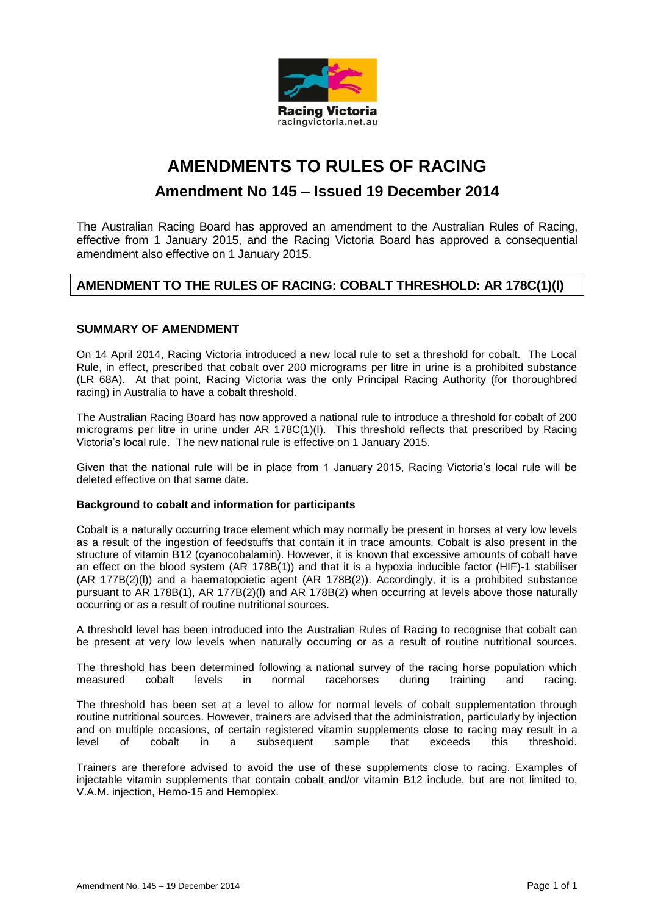

# **AMENDMENTS TO RULES OF RACING**

# **Amendment No 145 – Issued 19 December 2014**

The Australian Racing Board has approved an amendment to the Australian Rules of Racing, effective from 1 January 2015, and the Racing Victoria Board has approved a consequential amendment also effective on 1 January 2015.

# **AMENDMENT TO THE RULES OF RACING: COBALT THRESHOLD: AR 178C(1)(l)**

## **SUMMARY OF AMENDMENT**

On 14 April 2014, Racing Victoria introduced a new local rule to set a threshold for cobalt. The Local Rule, in effect, prescribed that cobalt over 200 micrograms per litre in urine is a prohibited substance (LR 68A). At that point, Racing Victoria was the only Principal Racing Authority (for thoroughbred racing) in Australia to have a cobalt threshold.

The Australian Racing Board has now approved a national rule to introduce a threshold for cobalt of 200 micrograms per litre in urine under AR 178C(1)(l). This threshold reflects that prescribed by Racing Victoria's local rule. The new national rule is effective on 1 January 2015.

Given that the national rule will be in place from 1 January 2015, Racing Victoria's local rule will be deleted effective on that same date.

#### **Background to cobalt and information for participants**

Cobalt is a naturally occurring trace element which may normally be present in horses at very low levels as a result of the ingestion of feedstuffs that contain it in trace amounts. Cobalt is also present in the structure of vitamin B12 (cyanocobalamin). However, it is known that excessive amounts of cobalt have an effect on the blood system (AR 178B(1)) and that it is a hypoxia inducible factor (HIF)-1 stabiliser (AR 177B(2)(l)) and a haematopoietic agent (AR 178B(2)). Accordingly, it is a prohibited substance pursuant to AR 178B(1), AR 177B(2)(l) and AR 178B(2) when occurring at levels above those naturally occurring or as a result of routine nutritional sources.

A threshold level has been introduced into the Australian Rules of Racing to recognise that cobalt can be present at very low levels when naturally occurring or as a result of routine nutritional sources.

The threshold has been determined following a national survey of the racing horse population which measured cobalt levels in normal racehorses during training and racing.

The threshold has been set at a level to allow for normal levels of cobalt supplementation through routine nutritional sources. However, trainers are advised that the administration, particularly by injection and on multiple occasions, of certain registered vitamin supplements close to racing may result in a level of cobalt in a subsequent sample that exceeds this threshold.

Trainers are therefore advised to avoid the use of these supplements close to racing. Examples of injectable vitamin supplements that contain cobalt and/or vitamin B12 include, but are not limited to, V.A.M. injection, Hemo-15 and Hemoplex.